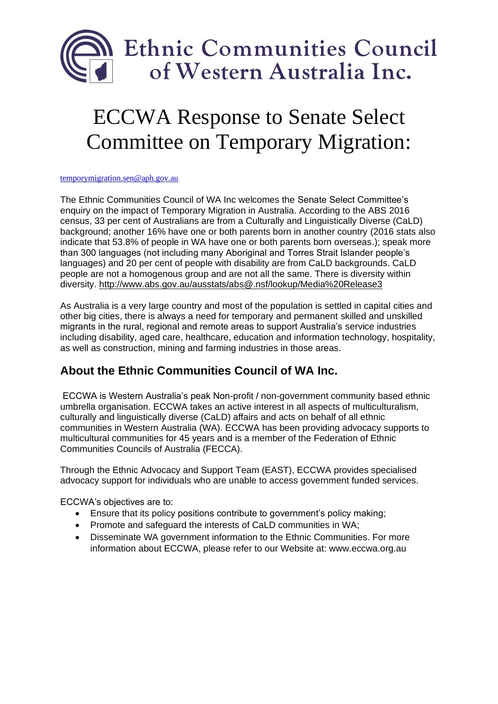

## ECCWA Response to Senate Select Committee on Temporary Migration:

[temporymigration.sen@aph.gov.au](mailto:temporymigration.sen@aph.gov.au)

The Ethnic Communities Council of WA Inc welcomes the Senate Select Committee's enquiry on the impact of Temporary Migration in Australia. According to the ABS 2016 census, 33 per cent of Australians are from a Culturally and Linguistically Diverse (CaLD) background; another 16% have one or both parents born in another country (2016 stats also indicate that 53.8% of people in WA have one or both parents born overseas.); speak more than 300 languages (not including many Aboriginal and Torres Strait Islander people's languages) and 20 per cent of people with disability are from CaLD backgrounds. CaLD people are not a homogenous group and are not all the same. There is diversity within diversity.<http://www.abs.gov.au/ausstats/abs@.nsf/lookup/Media%20Release3>

As Australia is a very large country and most of the population is settled in capital cities and other big cities, there is always a need for temporary and permanent skilled and unskilled migrants in the rural, regional and remote areas to support Australia's service industries including disability, aged care, healthcare, education and information technology, hospitality, as well as construction, mining and farming industries in those areas.

## **About the Ethnic Communities Council of WA Inc.**

ECCWA is Western Australia's peak Non-profit / non-government community based ethnic umbrella organisation. ECCWA takes an active interest in all aspects of multiculturalism, culturally and linguistically diverse (CaLD) affairs and acts on behalf of all ethnic communities in Western Australia (WA). ECCWA has been providing advocacy supports to multicultural communities for 45 years and is a member of the Federation of Ethnic Communities Councils of Australia (FECCA).

Through the Ethnic Advocacy and Support Team (EAST), ECCWA provides specialised advocacy support for individuals who are unable to access government funded services.

ECCWA's objectives are to:

- Ensure that its policy positions contribute to government's policy making;
- Promote and safeguard the interests of CaLD communities in WA;
- Disseminate WA government information to the Ethnic Communities. For more information about ECCWA, please refer to our Website at: www.eccwa.org.au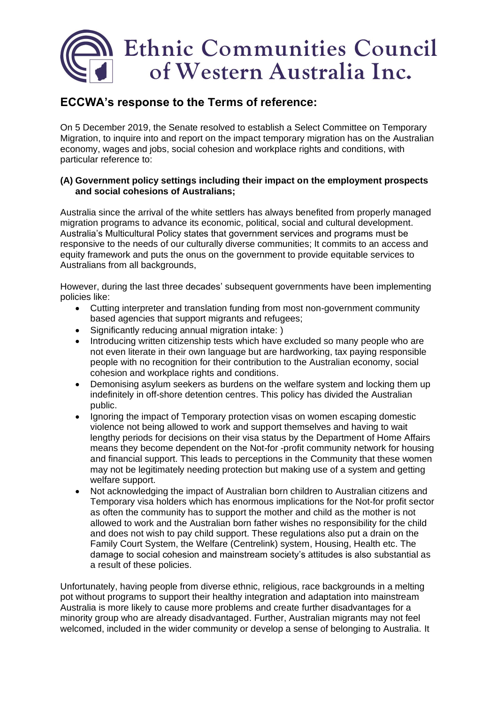# Ethnic Communities Council of Western Australia Inc.

### **ECCWA's response to the Terms of reference:**

On 5 December 2019, the Senate resolved to establish a Select Committee on Temporary Migration, to inquire into and report on the impact temporary migration has on the Australian economy, wages and jobs, social cohesion and workplace rights and conditions, with particular reference to:

#### **(A) Government policy settings including their impact on the employment prospects and social cohesions of Australians;**

Australia since the arrival of the white settlers has always benefited from properly managed migration programs to advance its economic, political, social and cultural development. Australia's Multicultural Policy states that government services and programs must be responsive to the needs of our culturally diverse communities; It commits to an access and equity framework and puts the onus on the government to provide equitable services to Australians from all backgrounds,

However, during the last three decades' subsequent governments have been implementing policies like:

- Cutting interpreter and translation funding from most non-government community based agencies that support migrants and refugees;
- Significantly reducing annual migration intake: )
- Introducing written citizenship tests which have excluded so many people who are not even literate in their own language but are hardworking, tax paying responsible people with no recognition for their contribution to the Australian economy, social cohesion and workplace rights and conditions.
- Demonising asylum seekers as burdens on the welfare system and locking them up indefinitely in off-shore detention centres. This policy has divided the Australian public.
- Ignoring the impact of Temporary protection visas on women escaping domestic violence not being allowed to work and support themselves and having to wait lengthy periods for decisions on their visa status by the Department of Home Affairs means they become dependent on the Not-for -profit community network for housing and financial support. This leads to perceptions in the Community that these women may not be legitimately needing protection but making use of a system and getting welfare support.
- Not acknowledging the impact of Australian born children to Australian citizens and Temporary visa holders which has enormous implications for the Not-for profit sector as often the community has to support the mother and child as the mother is not allowed to work and the Australian born father wishes no responsibility for the child and does not wish to pay child support. These regulations also put a drain on the Family Court System, the Welfare (Centrelink) system, Housing, Health etc. The damage to social cohesion and mainstream society's attitudes is also substantial as a result of these policies.

Unfortunately, having people from diverse ethnic, religious, race backgrounds in a melting pot without programs to support their healthy integration and adaptation into mainstream Australia is more likely to cause more problems and create further disadvantages for a minority group who are already disadvantaged. Further, Australian migrants may not feel welcomed, included in the wider community or develop a sense of belonging to Australia. It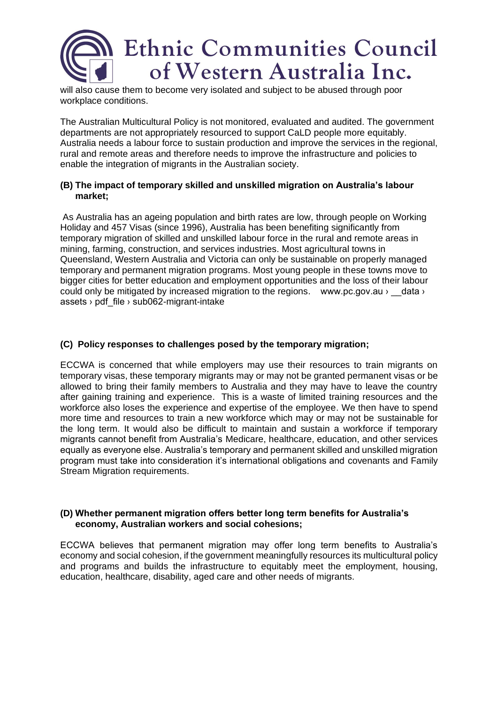

will also cause them to become very isolated and subject to be abused through poor workplace conditions.

The Australian Multicultural Policy is not monitored, evaluated and audited. The government departments are not appropriately resourced to support CaLD people more equitably. Australia needs a labour force to sustain production and improve the services in the regional, rural and remote areas and therefore needs to improve the infrastructure and policies to enable the integration of migrants in the Australian society.

#### **(B) The impact of temporary skilled and unskilled migration on Australia's labour market;**

As Australia has an ageing population and birth rates are low, through people on Working Holiday and 457 Visas (since 1996), Australia has been benefiting significantly from temporary migration of skilled and unskilled labour force in the rural and remote areas in mining, farming, construction, and services industries. Most agricultural towns in Queensland, Western Australia and Victoria can only be sustainable on properly managed temporary and permanent migration programs. Most young people in these towns move to bigger cities for better education and employment opportunities and the loss of their labour could only be mitigated by increased migration to the regions. www.pc.gov.au › data › assets > pdf\_file > sub062-migrant-intake

#### **(C) Policy responses to challenges posed by the temporary migration;**

ECCWA is concerned that while employers may use their resources to train migrants on temporary visas, these temporary migrants may or may not be granted permanent visas or be allowed to bring their family members to Australia and they may have to leave the country after gaining training and experience. This is a waste of limited training resources and the workforce also loses the experience and expertise of the employee. We then have to spend more time and resources to train a new workforce which may or may not be sustainable for the long term. It would also be difficult to maintain and sustain a workforce if temporary migrants cannot benefit from Australia's Medicare, healthcare, education, and other services equally as everyone else. Australia's temporary and permanent skilled and unskilled migration program must take into consideration it's international obligations and covenants and Family Stream Migration requirements.

#### **(D) Whether permanent migration offers better long term benefits for Australia's economy, Australian workers and social cohesions;**

ECCWA believes that permanent migration may offer long term benefits to Australia's economy and social cohesion, if the government meaningfully resources its multicultural policy and programs and builds the infrastructure to equitably meet the employment, housing, education, healthcare, disability, aged care and other needs of migrants.